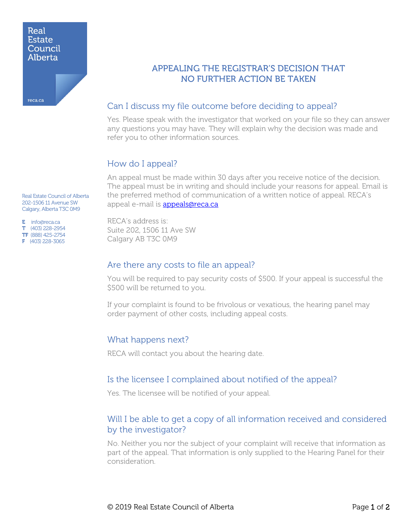#### Real **Estate** Council Alberta

reca.ca

APPEALING THE REGISTRAR'S DECISION THAT NO FURTHER ACTION BE TAKEN

## Can I discuss my file outcome before deciding to appeal?

Yes. Please speak with the investigator that worked on your file so they can answer any questions you may have. They will explain why the decision was made and refer you to other information sources.

# How do I appeal?

An appeal must be made within 30 days after you receive notice of the decision. The appeal must be in writing and should include your reasons for appeal. Email is the preferred method of communication of a written notice of appeal. RECA's appeal e-mail is [appeals@reca.ca](mailto:appeals@reca.ca)

Real Estate Council of Alberta 202-1506 11 Avenue SW Calgary, Alberta T3C 0M9

E info@reca.ca T (403) 228-2954 TF (888) 425-2754 F (403) 228-3065

RECA's address is: Suite 202, 1506 11 Ave SW Calgary AB T3C 0M9

### Are there any costs to file an appeal?

You will be required to pay security costs of \$500. If your appeal is successful the \$500 will be returned to you.

If your complaint is found to be frivolous or vexatious, the hearing panel may order payment of other costs, including appeal costs.

# What happens next?

RECA will contact you about the hearing date.

### Is the licensee I complained about notified of the appeal?

Yes. The licensee will be notified of your appeal.

# Will I be able to get a copy of all information received and considered by the investigator?

No. Neither you nor the subject of your complaint will receive that information as part of the appeal. That information is only supplied to the Hearing Panel for their consideration.